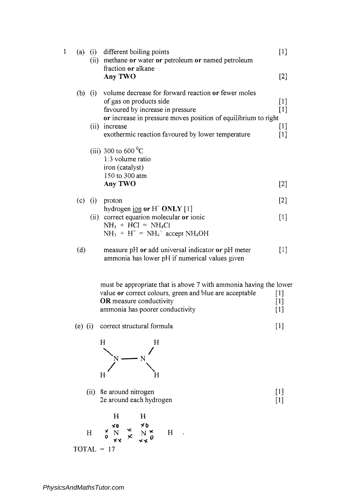| 1 | (a) |      | (i) different boiling points<br>(ii) methane or water or petroleum or named petroleum<br>fraction or alkane                                                                                                                                                        | $[1]$                               |
|---|-----|------|--------------------------------------------------------------------------------------------------------------------------------------------------------------------------------------------------------------------------------------------------------------------|-------------------------------------|
|   |     |      | Any TWO                                                                                                                                                                                                                                                            | $[2]$                               |
|   |     |      | (b) (i) volume decrease for forward reaction or fewer moles<br>of gas on products side<br>favoured by increase in pressure<br>or increase in pressure moves position of equilibrium to right<br>(ii) increase<br>exothermic reaction favoured by lower temperature | $[1]$<br>$[1]$<br>$[1]$<br>$[1]$    |
|   |     |      | (iii) 300 to 600 $^{\circ}$ C<br>1:3 volume ratio<br>iron (catalyst)<br>150 to 300 atm<br>Any TWO                                                                                                                                                                  | $[2]$                               |
|   | (c) | (i)  | proton                                                                                                                                                                                                                                                             | $[2]$                               |
|   |     | (ii) | hydrogen ion or $H^*$ ONLY [1]<br>correct equation molecular or ionic<br>$NH3 + HCl = NH4Cl$<br>$NH_3 + H^+ = NH_4^+$ accept NH <sub>4</sub> OH                                                                                                                    | $[1]$                               |
|   | (d) |      | measure pH or add universal indicator or pH meter<br>ammonia has lower pH if numerical values given                                                                                                                                                                | [1]                                 |
|   |     |      | must be appropriate that is above 7 with ammonia having the lower<br>value or correct colours, green and blue are acceptable<br><b>OR</b> measure conductivity<br>ammonia has poorer conductivity                                                                  | $[1]$<br>$\lceil 1 \rceil$<br>$[1]$ |

(e) (i) correct structural formula [l]



[1] [1]

H H **')CO** <sup>H</sup> **.,c** N **<sup>0</sup>***�'I.*  H TOTAL = 17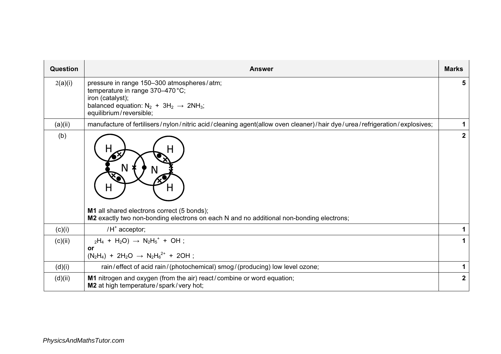| Question | <b>Answer</b>                                                                                                                                                                                                | <b>Marks</b>   |
|----------|--------------------------------------------------------------------------------------------------------------------------------------------------------------------------------------------------------------|----------------|
| 2(a)(i)  | pressure in range 150-300 atmospheres/atm;<br>temperature in range 370-470 °C;<br>iron (catalyst);<br>balanced equation: $N_2$ + 3H <sub>2</sub> $\rightarrow$ 2NH <sub>3</sub> ;<br>equilibrium/reversible; | 5              |
| (a)(ii)  | manufacture of fertilisers/nylon/nitric acid/cleaning agent(allow oven cleaner)/hair dye/urea/refrigeration/explosives;                                                                                      | 1              |
| (b)      | M1 all shared electrons correct (5 bonds);<br>M2 exactly two non-bonding electrons on each N and no additional non-bonding electrons;                                                                        | $\overline{2}$ |
| (c)(i)   | $/H^*$ acceptor;                                                                                                                                                                                             | 1              |
| (c)(ii)  | $_2H_4 + H_2O$ $\rightarrow$ $N_2H_5$ <sup>+</sup> + OH;<br>or<br>$(N_2H_4) + 2H_2O \rightarrow N_2H_6^{2+} + 2OH$ ;                                                                                         | 1              |
| (d)(i)   | rain/effect of acid rain/(photochemical) smog/(producing) low level ozone;                                                                                                                                   | 1              |
| (d)(ii)  | M1 nitrogen and oxygen (from the air) react/combine or word equation;<br>M2 at high temperature/spark/very hot;                                                                                              | $\mathbf{2}$   |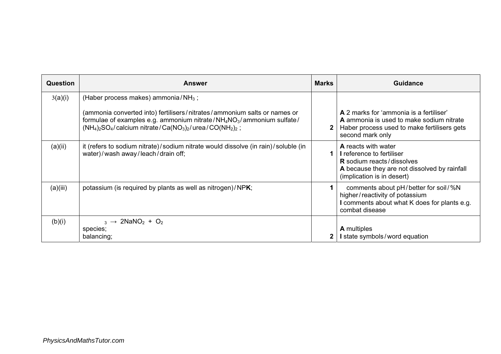| <b>Question</b> | <b>Answer</b>                                                                                                                                                                                                                                                        | <b>Marks</b> | Guidance                                                                                                                                                           |
|-----------------|----------------------------------------------------------------------------------------------------------------------------------------------------------------------------------------------------------------------------------------------------------------------|--------------|--------------------------------------------------------------------------------------------------------------------------------------------------------------------|
| 3(a)(i)         | (Haber process makes) ammonia/ $NH3$ ;                                                                                                                                                                                                                               |              |                                                                                                                                                                    |
|                 | (ammonia converted into) fertilisers/nitrates/ammonium salts or names or<br>formulae of examples e.g. ammonium nitrate/ $NH_4NO_3$ /ammonium sulfate/<br>$(NH_4)_2SO_4$ /calcium nitrate/Ca(NO <sub>3</sub> ) <sub>2</sub> /urea/CO(NH <sub>2</sub> ) <sub>2</sub> ; | $\mathbf{2}$ | A 2 marks for 'ammonia is a fertiliser'<br>A ammonia is used to make sodium nitrate<br>Haber process used to make fertilisers gets<br>second mark only             |
| (a)(ii)         | it (refers to sodium nitrate)/sodium nitrate would dissolve (in rain)/soluble (in<br>water)/wash away/leach/drain off;                                                                                                                                               |              | A reacts with water<br>I reference to fertiliser<br><b>R</b> sodium reacts/dissolves<br>A because they are not dissolved by rainfall<br>(implication is in desert) |
| (a)(iii)        | potassium (is required by plants as well as nitrogen)/NPK;                                                                                                                                                                                                           |              | comments about pH/better for soil/%N<br>higher/reactivity of potassium<br>I comments about what K does for plants e.g.<br>combat disease                           |
| (b)(i)          | $_3 \rightarrow 2$ NaNO <sub>2</sub> + O <sub>2</sub><br>species;                                                                                                                                                                                                    |              | <b>A</b> multiples                                                                                                                                                 |
|                 | balancing;                                                                                                                                                                                                                                                           | 2            | I state symbols/word equation                                                                                                                                      |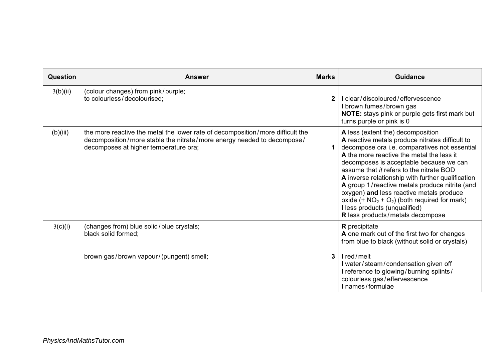| Question | <b>Answer</b>                                                                                                                                                                                     | <b>Marks</b> | Guidance                                                                                                                                                                                                                                                                                                                                                                                                                                                                                                                                           |
|----------|---------------------------------------------------------------------------------------------------------------------------------------------------------------------------------------------------|--------------|----------------------------------------------------------------------------------------------------------------------------------------------------------------------------------------------------------------------------------------------------------------------------------------------------------------------------------------------------------------------------------------------------------------------------------------------------------------------------------------------------------------------------------------------------|
| 3(b)(ii) | (colour changes) from pink/purple;<br>to colourless/decolourised;                                                                                                                                 | $\mathbf{2}$ | I clear/discoloured/effervescence<br>I brown fumes/brown gas<br>NOTE: stays pink or purple gets first mark but<br>turns purple or pink is 0                                                                                                                                                                                                                                                                                                                                                                                                        |
| (b)(iii) | the more reactive the metal the lower rate of decomposition/more difficult the<br>decomposition/more stable the nitrate/more energy needed to decompose/<br>decomposes at higher temperature ora; |              | A less (extent the) decomposition<br>A reactive metals produce nitrates difficult to<br>decompose ora i.e. comparatives not essential<br>A the more reactive the metal the less it<br>decomposes is acceptable because we can<br>assume that it refers to the nitrate BOD<br>A inverse relationship with further qualification<br>A group 1/reactive metals produce nitrite (and<br>oxygen) and less reactive metals produce<br>oxide $(+ NO2 + O2)$ (both required for mark)<br>I less products (unqualified)<br>R less products/metals decompose |
| 3(c)(i)  | (changes from) blue solid/blue crystals;<br>black solid formed;                                                                                                                                   |              | <b>R</b> precipitate<br>A one mark out of the first two for changes<br>from blue to black (without solid or crystals)                                                                                                                                                                                                                                                                                                                                                                                                                              |
|          | brown gas/brown vapour/(pungent) smell;                                                                                                                                                           | 3            | Ired/melt<br>I water/steam/condensation given off<br>I reference to glowing/burning splints/<br>colourless gas/effervescence<br>I names/formulae                                                                                                                                                                                                                                                                                                                                                                                                   |